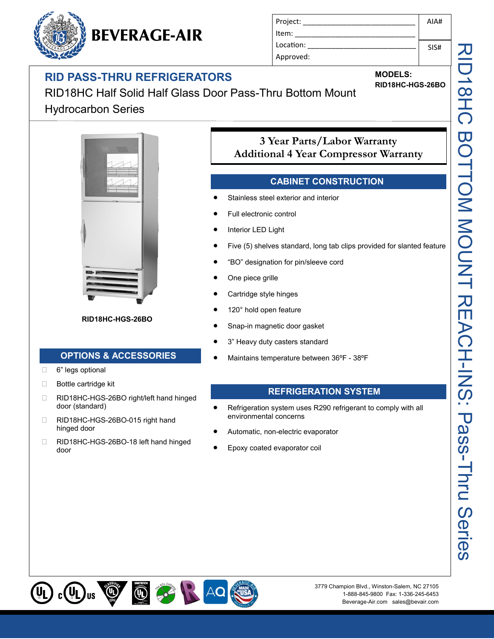# **RID PASS-THRU REFRIGERATORS**

**BEVERAGE-AIR** 

RID18HC Half Solid Half Glass Door Pass-Thru Bottom Mount Hydrocarbon Series



**RID18HC-HGS-26BO**

#### **OPTIONS & ACCESSORIES**

- 6" legs optional
- □ Bottle cartridge kit
- □ RID18HC-HGS-26BO right/left hand hinged door (standard)
- □ RID18HC-HGS-26BO-015 right hand hinged door
- □ RID18HC-HGS-26BO-18 left hand hinged door

## **3 Year Parts/Labor Warranty Additional 4 Year Compressor Warranty**

#### **CABINET CONSTRUCTION**

Stainless steel exterior and interior

Project: Item: Location: Approved:

- Full electronic control
- Interior LED Light
- Five (5) shelves standard, long tab clips provided for slanted feature
- "BO" designation for pin/sleeve cord
- One piece grille
- Cartridge style hinges
- 120° hold open feature
- Snap-in magnetic door gasket
- 3" Heavy duty casters standard
- Maintains temperature between 36ºF 38ºF

#### **REFRIGERATION SYSTEM**

- Refrigeration system uses R290 refrigerant to comply with all environmental concerns
- Automatic, non-electric evaporator
- Epoxy coated evaporator coil





SIS#

**MODELS:**

**RID18HC-HGS-26BO**